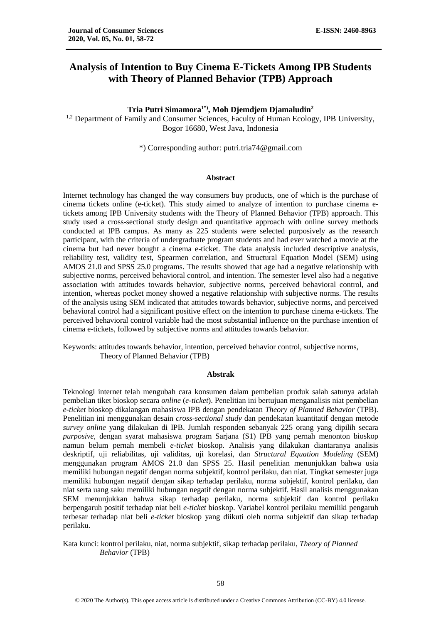# **Analysis of Intention to Buy Cinema E-Tickets Among IPB Students with Theory of Planned Behavior (TPB) Approach**

**Tria Putri Simamora1\*), Moh Djemdjem Djamaludin<sup>2</sup>** <sup>1,2</sup> Department of Family and Consumer Sciences, Faculty of Human Ecology, IPB University, Bogor 16680, West Java, Indonesia

\*) Corresponding author: [putri.tria74@gmail.com](mailto:putri.tria74@gmail.com)

#### **Abstract**

Internet technology has changed the way consumers buy products, one of which is the purchase of cinema tickets online (e-ticket). This study aimed to analyze of intention to purchase cinema etickets among IPB University students with the Theory of Planned Behavior (TPB) approach. This study used a cross-sectional study design and quantitative approach with online survey methods conducted at IPB campus. As many as 225 students were selected purposively as the research participant, with the criteria of undergraduate program students and had ever watched a movie at the cinema but had never bought a cinema e-ticket. The data analysis included descriptive analysis, reliability test, validity test, Spearmen correlation, and Structural Equation Model (SEM) using AMOS 21.0 and SPSS 25.0 programs. The results showed that age had a negative relationship with subjective norms, perceived behavioral control, and intention. The semester level also had a negative association with attitudes towards behavior, subjective norms, perceived behavioral control, and intention, whereas pocket money showed a negative relationship with subjective norms. The results of the analysis using SEM indicated that attitudes towards behavior, subjective norms, and perceived behavioral control had a significant positive effect on the intention to purchase cinema e-tickets. The perceived behavioral control variable had the most substantial influence on the purchase intention of cinema e-tickets, followed by subjective norms and attitudes towards behavior.

Keywords: attitudes towards behavior, intention, perceived behavior control, subjective norms, Theory of Planned Behavior (TPB)

#### **Abstrak**

Teknologi internet telah mengubah cara konsumen dalam pembelian produk salah satunya adalah pembelian tiket bioskop secara *online* (*e-ticket*). Penelitian ini bertujuan menganalisis niat pembelian *e-ticket* bioskop dikalangan mahasiswa IPB dengan pendekatan *Theory of Planned Behavior* (TPB). Penelitian ini menggunakan desain *cross-sectional study* dan pendekatan kuantitatif dengan metode *survey online* yang dilakukan di IPB. Jumlah responden sebanyak 225 orang yang dipilih secara *purposive,* dengan syarat mahasiswa program Sarjana (S1) IPB yang pernah menonton bioskop namun belum pernah membeli *e-ticket* bioskop. Analisis yang dilakukan diantaranya analisis deskriptif, uji reliabilitas, uji validitas, uji korelasi, dan *Structural Equation Modeling* (SEM) menggunakan program AMOS 21.0 dan SPSS 25. Hasil penelitian menunjukkan bahwa usia memiliki hubungan negatif dengan norma subjektif, kontrol perilaku, dan niat. Tingkat semester juga memiliki hubungan negatif dengan sikap terhadap perilaku, norma subjektif, kontrol perilaku, dan niat serta uang saku memiliki hubungan negatif dengan norma subjektif. Hasil analisis menggunakan SEM menunjukkan bahwa sikap terhadap perilaku, norma subjektif dan kontrol perilaku berpengaruh positif terhadap niat beli *e-ticket* bioskop. Variabel kontrol perilaku memiliki pengaruh terbesar terhadap niat beli *e-ticket* bioskop yang diikuti oleh norma subjektif dan sikap terhadap perilaku.

Kata kunci: kontrol perilaku, niat, norma subjektif, sikap terhadap perilaku, *Theory of Planned Behavior* (TPB)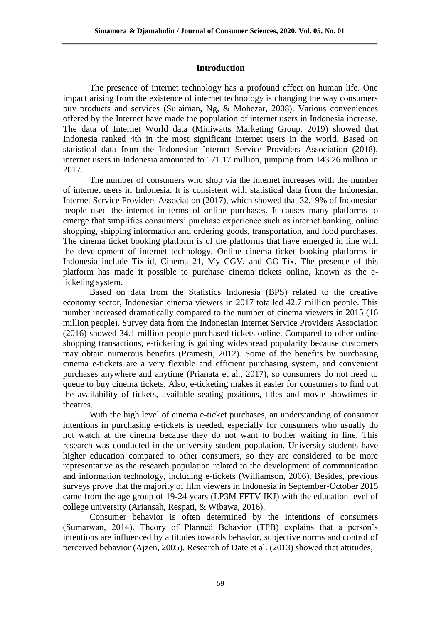### **Introduction**

The presence of internet technology has a profound effect on human life. One impact arising from the existence of internet technology is changing the way consumers buy products and services (Sulaiman, Ng, & Mohezar, 2008). Various conveniences offered by the Internet have made the population of internet users in Indonesia increase. The data of Internet World data (Miniwatts Marketing Group, 2019) showed that Indonesia ranked 4th in the most significant internet users in the world. Based on statistical data from the Indonesian Internet Service Providers Association (2018), internet users in Indonesia amounted to 171.17 million, jumping from 143.26 million in 2017.

The number of consumers who shop via the internet increases with the number of internet users in Indonesia. It is consistent with statistical data from the Indonesian Internet Service Providers Association (2017), which showed that 32.19% of Indonesian people used the internet in terms of online purchases. It causes many platforms to emerge that simplifies consumers' purchase experience such as internet banking, online shopping, shipping information and ordering goods, transportation, and food purchases. The cinema ticket booking platform is of the platforms that have emerged in line with the development of internet technology. Online cinema ticket booking platforms in Indonesia include Tix-id, Cinema 21, My CGV, and GO-Tix. The presence of this platform has made it possible to purchase cinema tickets online, known as the eticketing system.

Based on data from the Statistics Indonesia (BPS) related to the creative economy sector, Indonesian cinema viewers in 2017 totalled 42.7 million people. This number increased dramatically compared to the number of cinema viewers in 2015 (16 million people). Survey data from the Indonesian Internet Service Providers Association (2016) showed 34.1 million people purchased tickets online. Compared to other online shopping transactions, e-ticketing is gaining widespread popularity because customers may obtain numerous benefits (Pramesti, 2012). Some of the benefits by purchasing cinema e-tickets are a very flexible and efficient purchasing system, and convenient purchases anywhere and anytime (Prianata et al., 2017), so consumers do not need to queue to buy cinema tickets. Also, e-ticketing makes it easier for consumers to find out the availability of tickets, available seating positions, titles and movie showtimes in theatres.

With the high level of cinema e-ticket purchases, an understanding of consumer intentions in purchasing e-tickets is needed, especially for consumers who usually do not watch at the cinema because they do not want to bother waiting in line. This research was conducted in the university student population. University students have higher education compared to other consumers, so they are considered to be more representative as the research population related to the development of communication and information technology, including e-tickets (Williamson, 2006). Besides, previous surveys prove that the majority of film viewers in Indonesia in September-October 2015 came from the age group of 19-24 years (LP3M FFTV IKJ) with the education level of college university (Ariansah, Respati, & Wibawa, 2016).

Consumer behavior is often determined by the intentions of consumers (Sumarwan, 2014). Theory of Planned Behavior (TPB) explains that a person's intentions are influenced by attitudes towards behavior, subjective norms and control of perceived behavior (Ajzen, 2005). Research of Date et al. (2013) showed that attitudes,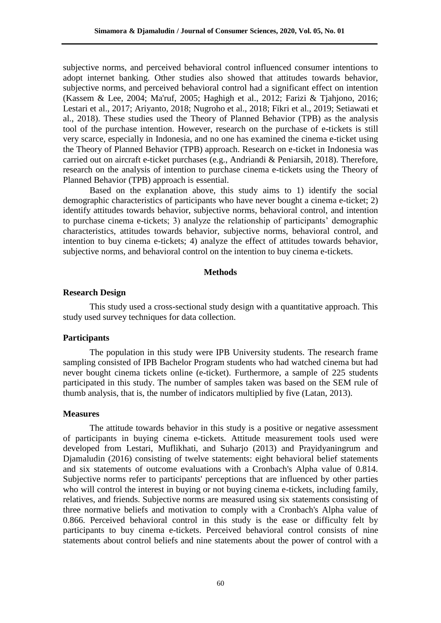subjective norms, and perceived behavioral control influenced consumer intentions to adopt internet banking. Other studies also showed that attitudes towards behavior, subjective norms, and perceived behavioral control had a significant effect on intention (Kassem & Lee, 2004; Ma'ruf, 2005; Haghigh et al., 2012; Farizi & Tjahjono, 2016; Lestari et al., 2017; Ariyanto, 2018; Nugroho et al., 2018; Fikri et al., 2019; Setiawati et al., 2018). These studies used the Theory of Planned Behavior (TPB) as the analysis tool of the purchase intention. However, research on the purchase of e-tickets is still very scarce, especially in Indonesia, and no one has examined the cinema e-ticket using the Theory of Planned Behavior (TPB) approach. Research on e-ticket in Indonesia was carried out on aircraft e-ticket purchases (e.g., Andriandi & Peniarsih, 2018). Therefore, research on the analysis of intention to purchase cinema e-tickets using the Theory of Planned Behavior (TPB) approach is essential.

Based on the explanation above, this study aims to 1) identify the social demographic characteristics of participants who have never bought a cinema e-ticket; 2) identify attitudes towards behavior, subjective norms, behavioral control, and intention to purchase cinema e-tickets; 3) analyze the relationship of participants' demographic characteristics, attitudes towards behavior, subjective norms, behavioral control, and intention to buy cinema e-tickets; 4) analyze the effect of attitudes towards behavior, subjective norms, and behavioral control on the intention to buy cinema e-tickets.

### **Methods**

#### **Research Design**

This study used a cross-sectional study design with a quantitative approach. This study used survey techniques for data collection.

### **Participants**

The population in this study were IPB University students. The research frame sampling consisted of IPB Bachelor Program students who had watched cinema but had never bought cinema tickets online (e-ticket). Furthermore, a sample of 225 students participated in this study. The number of samples taken was based on the SEM rule of thumb analysis, that is, the number of indicators multiplied by five (Latan, 2013).

### **Measures**

The attitude towards behavior in this study is a positive or negative assessment of participants in buying cinema e-tickets. Attitude measurement tools used were developed from Lestari, Muflikhati, and Suharjo (2013) and Prayidyaningrum and Djamaludin (2016) consisting of twelve statements: eight behavioral belief statements and six statements of outcome evaluations with a Cronbach's Alpha value of 0.814. Subjective norms refer to participants' perceptions that are influenced by other parties who will control the interest in buying or not buying cinema e-tickets, including family, relatives, and friends. Subjective norms are measured using six statements consisting of three normative beliefs and motivation to comply with a Cronbach's Alpha value of 0.866. Perceived behavioral control in this study is the ease or difficulty felt by participants to buy cinema e-tickets. Perceived behavioral control consists of nine statements about control beliefs and nine statements about the power of control with a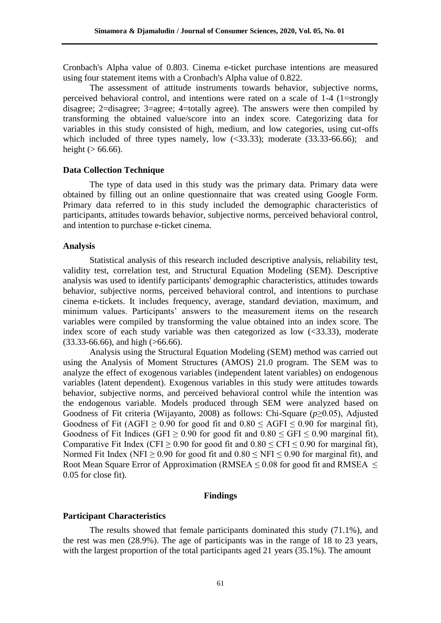Cronbach's Alpha value of 0.803. Cinema e-ticket purchase intentions are measured using four statement items with a Cronbach's Alpha value of 0.822.

The assessment of attitude instruments towards behavior, subjective norms, perceived behavioral control, and intentions were rated on a scale of 1-4 (1=strongly disagree; 2=disagree; 3=agree; 4=totally agree). The answers were then compiled by transforming the obtained value/score into an index score. Categorizing data for variables in this study consisted of high, medium, and low categories, using cut-offs which included of three types namely, low  $(\leq 33.33)$ ; moderate  $(33.33-66.66)$ ; and height ( $> 66.66$ ).

### **Data Collection Technique**

The type of data used in this study was the primary data. Primary data were obtained by filling out an online questionnaire that was created using Google Form. Primary data referred to in this study included the demographic characteristics of participants, attitudes towards behavior, subjective norms, perceived behavioral control, and intention to purchase e-ticket cinema.

### **Analysis**

Statistical analysis of this research included descriptive analysis, reliability test, validity test, correlation test, and Structural Equation Modeling (SEM). Descriptive analysis was used to identify participants' demographic characteristics, attitudes towards behavior, subjective norms, perceived behavioral control, and intentions to purchase cinema e-tickets. It includes frequency, average, standard deviation, maximum, and minimum values. Participants' answers to the measurement items on the research variables were compiled by transforming the value obtained into an index score. The index score of each study variable was then categorized as low  $(\leq 33.33)$ , moderate (33.33-66.66), and high (>66.66).

Analysis using the Structural Equation Modeling (SEM) method was carried out using the Analysis of Moment Structures (AMOS) 21.0 program. The SEM was to analyze the effect of exogenous variables (independent latent variables) on endogenous variables (latent dependent). Exogenous variables in this study were attitudes towards behavior, subjective norms, and perceived behavioral control while the intention was the endogenous variable. Models produced through SEM were analyzed based on Goodness of Fit criteria (Wijayanto, 2008) as follows: Chi-Square (*p*≥0.05), Adjusted Goodness of Fit (AGFI  $\geq$  0.90 for good fit and 0.80  $\leq$  AGFI  $\leq$  0.90 for marginal fit), Goodness of Fit Indices (GFI  $\geq$  0.90 for good fit and 0.80  $\leq$  GFI  $\leq$  0.90 marginal fit), Comparative Fit Index (CFI  $\geq$  0.90 for good fit and 0.80  $\leq$  CFI  $\leq$  0.90 for marginal fit), Normed Fit Index (NFI  $\geq$  0.90 for good fit and 0.80  $\leq$  NFI  $\leq$  0.90 for marginal fit), and Root Mean Square Error of Approximation (RMSEA  $\leq$  0.08 for good fit and RMSEA  $\leq$ 0.05 for close fit).

### **Findings**

### **Participant Characteristics**

The results showed that female participants dominated this study (71.1%), and the rest was men (28.9%). The age of participants was in the range of 18 to 23 years, with the largest proportion of the total participants aged 21 years (35.1%). The amount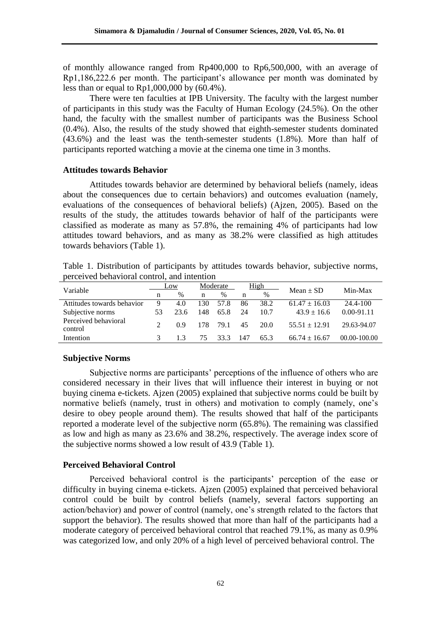of monthly allowance ranged from Rp400,000 to Rp6,500,000, with an average of Rp1,186,222.6 per month. The participant's allowance per month was dominated by less than or equal to Rp1,000,000 by (60.4%).

There were ten faculties at IPB University. The faculty with the largest number of participants in this study was the Faculty of Human Ecology (24.5%). On the other hand, the faculty with the smallest number of participants was the Business School (0.4%). Also, the results of the study showed that eighth-semester students dominated (43.6%) and the least was the tenth-semester students (1.8%). More than half of participants reported watching a movie at the cinema one time in 3 months.

### **Attitudes towards Behavior**

Attitudes towards behavior are determined by behavioral beliefs (namely, ideas about the consequences due to certain behaviors) and outcomes evaluation (namely, evaluations of the consequences of behavioral beliefs) (Ajzen, 2005). Based on the results of the study, the attitudes towards behavior of half of the participants were classified as moderate as many as 57.8%, the remaining 4% of participants had low attitudes toward behaviors, and as many as 38.2% were classified as high attitudes towards behaviors (Table 1).

| Table 1. Distribution of participants by attitudes towards behavior, subjective norms, |  |  |  |  |
|----------------------------------------------------------------------------------------|--|--|--|--|
| perceived behavioral control, and intention                                            |  |  |  |  |

| Variable                        | Low           |      | Moderate |      | High |      | $Mean \pm SD$     | Min-Max          |  |
|---------------------------------|---------------|------|----------|------|------|------|-------------------|------------------|--|
|                                 | n             | $\%$ | n        | $\%$ | n    | %    |                   |                  |  |
| Attitudes towards behavior      | 9             | 4.0  | 130      | 57.8 | 86   | 38.2 | $61.47 \pm 16.03$ | 24.4-100         |  |
| Subjective norms                | 53.           | 23.6 | 148      | 65.8 | 24   | 10.7 | $43.9 \pm 16.6$   | $0.00 - 91.11$   |  |
| Perceived behavioral<br>control | $\mathcal{D}$ | 0.9  | 178      | 79.1 | 45   | 20.0 | $55.51 \pm 12.91$ | 29.63-94.07      |  |
| Intention                       |               | 13   | 75       | 33.3 | 147  | 65.3 | $66.74 \pm 16.67$ | $00.00 - 100.00$ |  |

### **Subjective Norms**

Subjective norms are participants' perceptions of the influence of others who are considered necessary in their lives that will influence their interest in buying or not buying cinema e-tickets. Ajzen (2005) explained that subjective norms could be built by normative beliefs (namely, trust in others) and motivation to comply (namely, one's desire to obey people around them). The results showed that half of the participants reported a moderate level of the subjective norm (65.8%). The remaining was classified as low and high as many as 23.6% and 38.2%, respectively. The average index score of the subjective norms showed a low result of 43.9 (Table 1).

### **Perceived Behavioral Control**

Perceived behavioral control is the participants' perception of the ease or difficulty in buying cinema e-tickets. Ajzen (2005) explained that perceived behavioral control could be built by control beliefs (namely, several factors supporting an action/behavior) and power of control (namely, one's strength related to the factors that support the behavior). The results showed that more than half of the participants had a moderate category of perceived behavioral control that reached 79.1%, as many as 0.9% was categorized low, and only 20% of a high level of perceived behavioral control. The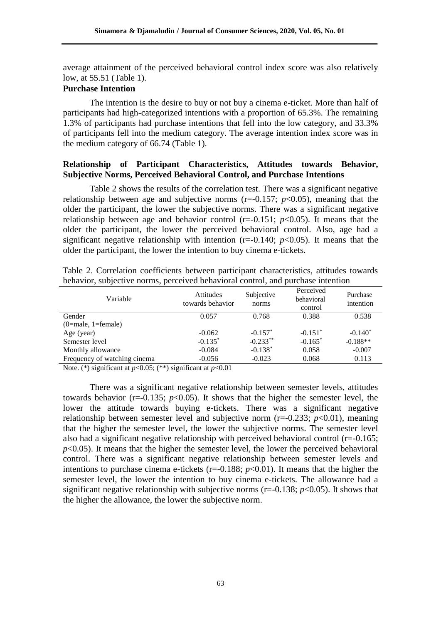average attainment of the perceived behavioral control index score was also relatively low, at 55.51 (Table 1).

## **Purchase Intention**

The intention is the desire to buy or not buy a cinema e-ticket. More than half of participants had high-categorized intentions with a proportion of 65.3%. The remaining 1.3% of participants had purchase intentions that fell into the low category, and 33.3% of participants fell into the medium category. The average intention index score was in the medium category of 66.74 (Table 1).

## **Relationship of Participant Characteristics, Attitudes towards Behavior, Subjective Norms, Perceived Behavioral Control, and Purchase Intentions**

Table 2 shows the results of the correlation test. There was a significant negative relationship between age and subjective norms  $(r=0.157; p<0.05)$ , meaning that the older the participant, the lower the subjective norms. There was a significant negative relationship between age and behavior control  $(r=-0.151; p<0.05)$ . It means that the older the participant, the lower the perceived behavioral control. Also, age had a significant negative relationship with intention  $(r=-0.140; p<0.05)$ . It means that the older the participant, the lower the intention to buy cinema e-tickets.

| Variable                     | <b>Attitudes</b><br>towards behavior | Subjective<br>norms | Perceived<br>behavioral<br>control | Purchase<br>intention |
|------------------------------|--------------------------------------|---------------------|------------------------------------|-----------------------|
| Gender                       | 0.057                                | 0.768               | 0.388                              | 0.538                 |
| $(0=male, 1=female)$         |                                      |                     |                                    |                       |
| Age (year)                   | $-0.062$                             | $-0.157*$           | $-0.151*$                          | $-0.140*$             |
| Semester level               | $-0.135*$                            | $-0.233**$          | $-0.165*$                          | $-0.188**$            |
| Monthly allowance            | $-0.084$                             | $-0.138*$           | 0.058                              | $-0.007$              |
| Frequency of watching cinema | $-0.056$                             | $-0.023$            | 0.068                              | 0.113                 |

Table 2. Correlation coefficients between participant characteristics, attitudes towards behavior, subjective norms, perceived behavioral control, and purchase intention

Note. (\*) significant at *p*<0.05; (\*\*) significant at *p*<0.01

There was a significant negative relationship between semester levels, attitudes towards behavior ( $r=-0.135$ ;  $p<0.05$ ). It shows that the higher the semester level, the lower the attitude towards buying e-tickets. There was a significant negative relationship between semester level and subjective norm  $(r=0.233; p<0.01)$ , meaning that the higher the semester level, the lower the subjective norms. The semester level also had a significant negative relationship with perceived behavioral control (r=-0.165;  $p<0.05$ ). It means that the higher the semester level, the lower the perceived behavioral control. There was a significant negative relationship between semester levels and intentions to purchase cinema e-tickets  $(r=-0.188; p<0.01)$ . It means that the higher the semester level, the lower the intention to buy cinema e-tickets. The allowance had a significant negative relationship with subjective norms ( $r = -0.138$ ;  $p < 0.05$ ). It shows that the higher the allowance, the lower the subjective norm.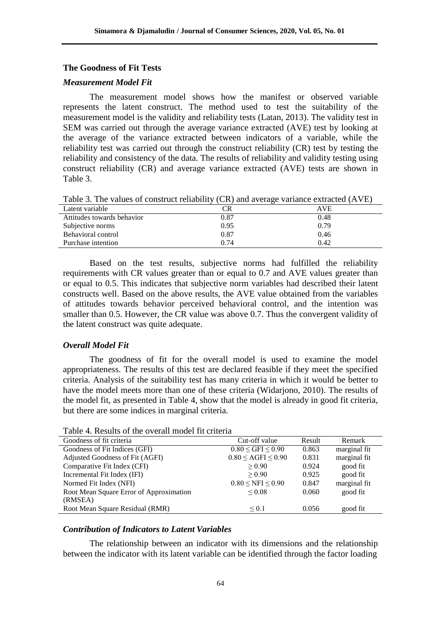### **The Goodness of Fit Tests**

### *Measurement Model Fit*

The measurement model shows how the manifest or observed variable represents the latent construct. The method used to test the suitability of the measurement model is the validity and reliability tests (Latan, 2013). The validity test in SEM was carried out through the average variance extracted (AVE) test by looking at the average of the variance extracted between indicators of a variable, while the reliability test was carried out through the construct reliability (CR) test by testing the reliability and consistency of the data. The results of reliability and validity testing using construct reliability (CR) and average variance extracted (AVE) tests are shown in Table 3.

Table 3. The values of construct reliability (CR) and average variance extracted (AVE)

| Latent variable            | CR   | AVE  |
|----------------------------|------|------|
| Attitudes towards behavior | 0.87 | 0.48 |
| Subjective norms           | 0.95 | 0.79 |
| Behavioral control         | 0.87 | 0.46 |
| Purchase intention         | 0.74 | 0.42 |

Based on the test results, subjective norms had fulfilled the reliability requirements with CR values greater than or equal to 0.7 and AVE values greater than or equal to 0.5. This indicates that subjective norm variables had described their latent constructs well. Based on the above results, the AVE value obtained from the variables of attitudes towards behavior perceived behavioral control, and the intention was smaller than 0.5. However, the CR value was above 0.7. Thus the convergent validity of the latent construct was quite adequate.

### *Overall Model Fit*

The goodness of fit for the overall model is used to examine the model appropriateness. The results of this test are declared feasible if they meet the specified criteria. Analysis of the suitability test has many criteria in which it would be better to have the model meets more than one of these criteria (Widarjono, 2010). The results of the model fit, as presented in Table 4, show that the model is already in good fit criteria, but there are some indices in marginal criteria.

| Cut-off value                     | Result | Remark       |
|-----------------------------------|--------|--------------|
| $0.80 \leq$ GFI $\leq 0.90$       | 0.863  | marginal fit |
| $0.80 \leq \text{AGFI} \leq 0.90$ | 0.831  | marginal fit |
| > 0.90                            | 0.924  | good fit     |
| > 0.90                            | 0.925  | good fit     |
| $0.80 \leq NFI \leq 0.90$         | 0.847  | marginal fit |
| ${}_{\leq 0.08}$                  | 0.060  | good fit     |
|                                   |        |              |
| ${}_{0.1}$                        | 0.056  | good fit     |
|                                   |        |              |

Table 4. Results of the overall model fit criteria

## *Contribution of Indicators to Latent Variables*

The relationship between an indicator with its dimensions and the relationship between the indicator with its latent variable can be identified through the factor loading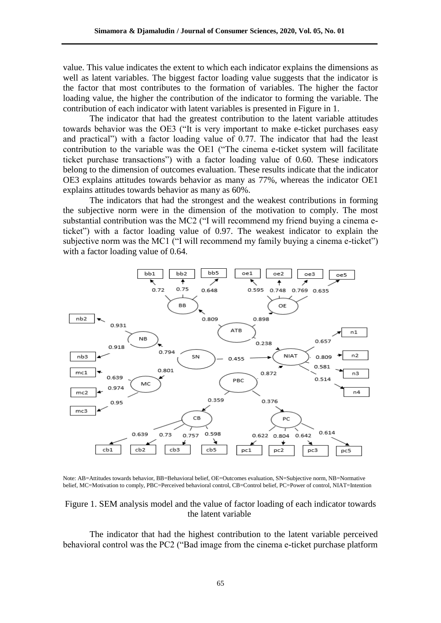value. This value indicates the extent to which each indicator explains the dimensions as well as latent variables. The biggest factor loading value suggests that the indicator is the factor that most contributes to the formation of variables. The higher the factor loading value, the higher the contribution of the indicator to forming the variable. The contribution of each indicator with latent variables is presented in Figure in 1.

The indicator that had the greatest contribution to the latent variable attitudes towards behavior was the OE3 ("It is very important to make e-ticket purchases easy and practical") with a factor loading value of 0.77. The indicator that had the least contribution to the variable was the OE1 ("The cinema e-ticket system will facilitate ticket purchase transactions") with a factor loading value of 0.60. These indicators belong to the dimension of outcomes evaluation. These results indicate that the indicator OE3 explains attitudes towards behavior as many as 77%, whereas the indicator OE1 explains attitudes towards behavior as many as 60%.

The indicators that had the strongest and the weakest contributions in forming the subjective norm were in the dimension of the motivation to comply. The most substantial contribution was the MC2 ("I will recommend my friend buying a cinema eticket") with a factor loading value of 0.97. The weakest indicator to explain the subjective norm was the MC1 ("I will recommend my family buying a cinema e-ticket") with a factor loading value of 0.64.



Note: AB=Attitudes towards behavior, BB=Behavioral belief, OE=Outcomes evaluation, SN=Subjective norm, NB=Normative belief, MC=Motivation to comply, PBC=Perceived behavioral control, CB=Control belief, PC=Power of control, NIAT=Intention

### Figure 1. SEM analysis model and the value of factor loading of each indicator towards the latent variable

The indicator that had the highest contribution to the latent variable perceived behavioral control was the PC2 ("Bad image from the cinema e-ticket purchase platform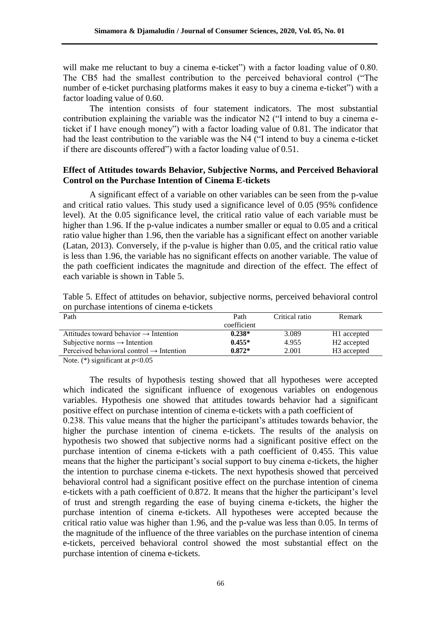will make me reluctant to buy a cinema e-ticket") with a factor loading value of 0.80. The CB5 had the smallest contribution to the perceived behavioral control ("The number of e-ticket purchasing platforms makes it easy to buy a cinema e-ticket") with a factor loading value of 0.60.

The intention consists of four statement indicators. The most substantial contribution explaining the variable was the indicator N2 ("I intend to buy a cinema eticket if I have enough money") with a factor loading value of 0.81. The indicator that had the least contribution to the variable was the N4 ("I intend to buy a cinema e-ticket if there are discounts offered") with a factor loading value of 0.51.

## **Effect of Attitudes towards Behavior, Subjective Norms, and Perceived Behavioral Control on the Purchase Intention of Cinema E-tickets**

A significant effect of a variable on other variables can be seen from the p-value and critical ratio values. This study used a significance level of 0.05 (95% confidence level). At the 0.05 significance level, the critical ratio value of each variable must be higher than 1.96. If the p-value indicates a number smaller or equal to 0.05 and a critical ratio value higher than 1.96, then the variable has a significant effect on another variable (Latan, 2013). Conversely, if the p-value is higher than 0.05, and the critical ratio value is less than 1.96, the variable has no significant effects on another variable. The value of the path coefficient indicates the magnitude and direction of the effect. The effect of each variable is shown in Table 5.

Table 5. Effect of attitudes on behavior, subjective norms, perceived behavioral control on purchase intentions of cinema e-tickets

| Path                                                 | Path        | Critical ratio | Remark                  |
|------------------------------------------------------|-------------|----------------|-------------------------|
|                                                      | coefficient |                |                         |
| Attitudes toward behavior $\rightarrow$ Intention    | $0.238*$    | 3.089          | H <sub>1</sub> accepted |
| Subjective norms $\rightarrow$ Intention             | $0.455*$    | 4.955          | H <sub>2</sub> accepted |
| Perceived behavioral control $\rightarrow$ Intention | $0.872*$    | 2.001          | H <sub>3</sub> accepted |

Note. (\*) significant at  $p<0.05$ 

The results of hypothesis testing showed that all hypotheses were accepted which indicated the significant influence of exogenous variables on endogenous variables. Hypothesis one showed that attitudes towards behavior had a significant positive effect on purchase intention of cinema e-tickets with a path coefficient of 0.238. This value means that the higher the participant's attitudes towards behavior, the higher the purchase intention of cinema e-tickets. The results of the analysis on hypothesis two showed that subjective norms had a significant positive effect on the purchase intention of cinema e-tickets with a path coefficient of 0.455. This value means that the higher the participant's social support to buy cinema e-tickets, the higher the intention to purchase cinema e-tickets. The next hypothesis showed that perceived behavioral control had a significant positive effect on the purchase intention of cinema e-tickets with a path coefficient of 0.872. It means that the higher the participant's level of trust and strength regarding the ease of buying cinema e-tickets, the higher the purchase intention of cinema e-tickets. All hypotheses were accepted because the critical ratio value was higher than 1.96, and the p-value was less than 0.05. In terms of the magnitude of the influence of the three variables on the purchase intention of cinema e-tickets, perceived behavioral control showed the most substantial effect on the purchase intention of cinema e-tickets.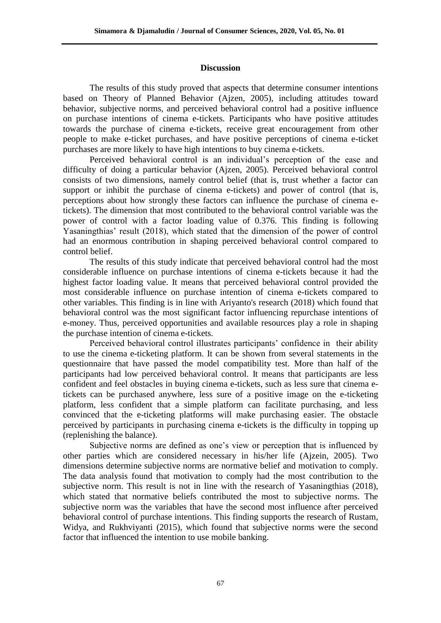### **Discussion**

The results of this study proved that aspects that determine consumer intentions based on Theory of Planned Behavior (Ajzen, 2005), including attitudes toward behavior, subjective norms, and perceived behavioral control had a positive influence on purchase intentions of cinema e-tickets. Participants who have positive attitudes towards the purchase of cinema e-tickets, receive great encouragement from other people to make e-ticket purchases, and have positive perceptions of cinema e-ticket purchases are more likely to have high intentions to buy cinema e-tickets.

Perceived behavioral control is an individual's perception of the ease and difficulty of doing a particular behavior (Ajzen, 2005). Perceived behavioral control consists of two dimensions, namely control belief (that is, trust whether a factor can support or inhibit the purchase of cinema e-tickets) and power of control (that is, perceptions about how strongly these factors can influence the purchase of cinema etickets). The dimension that most contributed to the behavioral control variable was the power of control with a factor loading value of 0.376. This finding is following Yasaningthias' result (2018), which stated that the dimension of the power of control had an enormous contribution in shaping perceived behavioral control compared to control belief.

The results of this study indicate that perceived behavioral control had the most considerable influence on purchase intentions of cinema e-tickets because it had the highest factor loading value. It means that perceived behavioral control provided the most considerable influence on purchase intention of cinema e-tickets compared to other variables. This finding is in line with Ariyanto's research (2018) which found that behavioral control was the most significant factor influencing repurchase intentions of e-money. Thus, perceived opportunities and available resources play a role in shaping the purchase intention of cinema e-tickets.

Perceived behavioral control illustrates participants' confidence in their ability to use the cinema e-ticketing platform. It can be shown from several statements in the questionnaire that have passed the model compatibility test. More than half of the participants had low perceived behavioral control. It means that participants are less confident and feel obstacles in buying cinema e-tickets, such as less sure that cinema etickets can be purchased anywhere, less sure of a positive image on the e-ticketing platform, less confident that a simple platform can facilitate purchasing, and less convinced that the e-ticketing platforms will make purchasing easier. The obstacle perceived by participants in purchasing cinema e-tickets is the difficulty in topping up (replenishing the balance).

Subjective norms are defined as one's view or perception that is influenced by other parties which are considered necessary in his/her life (Ajzein, 2005). Two dimensions determine subjective norms are normative belief and motivation to comply. The data analysis found that motivation to comply had the most contribution to the subjective norm. This result is not in line with the research of Yasaningthias (2018), which stated that normative beliefs contributed the most to subjective norms. The subjective norm was the variables that have the second most influence after perceived behavioral control of purchase intentions. This finding supports the research of Rustam, Widya, and Rukhviyanti (2015), which found that subjective norms were the second factor that influenced the intention to use mobile banking.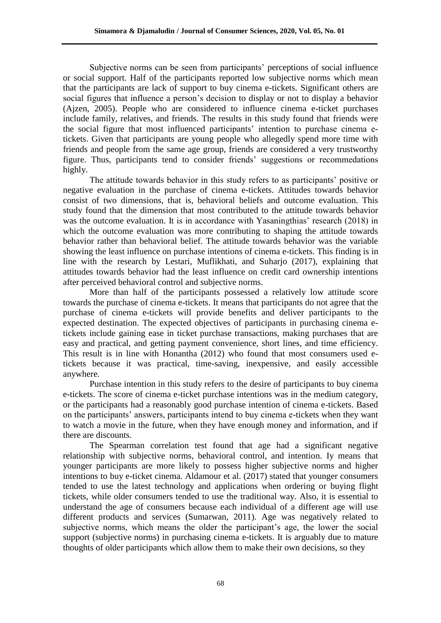Subjective norms can be seen from participants' perceptions of social influence or social support. Half of the participants reported low subjective norms which mean that the participants are lack of support to buy cinema e-tickets. Significant others are social figures that influence a person's decision to display or not to display a behavior (Ajzen, 2005). People who are considered to influence cinema e-ticket purchases include family, relatives, and friends. The results in this study found that friends were the social figure that most influenced participants' intention to purchase cinema etickets. Given that participants are young people who allegedly spend more time with friends and people from the same age group, friends are considered a very trustworthy figure. Thus, participants tend to consider friends' suggestions or recommedations highly.

The attitude towards behavior in this study refers to as participants' positive or negative evaluation in the purchase of cinema e-tickets. Attitudes towards behavior consist of two dimensions, that is, behavioral beliefs and outcome evaluation. This study found that the dimension that most contributed to the attitude towards behavior was the outcome evaluation. It is in accordance with Yasaningthias' research (2018) in which the outcome evaluation was more contributing to shaping the attitude towards behavior rather than behavioral belief. The attitude towards behavior was the variable showing the least influence on purchase intentions of cinema e-tickets. This finding is in line with the research by Lestari, Muflikhati, and Suharjo (2017), explaining that attitudes towards behavior had the least influence on credit card ownership intentions after perceived behavioral control and subjective norms.

More than half of the participants possessed a relatively low attitude score towards the purchase of cinema e-tickets. It means that participants do not agree that the purchase of cinema e-tickets will provide benefits and deliver participants to the expected destination. The expected objectives of participants in purchasing cinema etickets include gaining ease in ticket purchase transactions, making purchases that are easy and practical, and getting payment convenience, short lines, and time efficiency. This result is in line with Honantha (2012) who found that most consumers used etickets because it was practical, time-saving, inexpensive, and easily accessible anywhere.

Purchase intention in this study refers to the desire of participants to buy cinema e-tickets. The score of cinema e-ticket purchase intentions was in the medium category, or the participants had a reasonably good purchase intention of cinema e-tickets. Based on the participants' answers, participants intend to buy cinema e-tickets when they want to watch a movie in the future, when they have enough money and information, and if there are discounts.

The Spearman correlation test found that age had a significant negative relationship with subjective norms, behavioral control, and intention. Iy means that younger participants are more likely to possess higher subjective norms and higher intentions to buy e-ticket cinema. Aldamour et al. (2017) stated that younger consumers tended to use the latest technology and applications when ordering or buying flight tickets, while older consumers tended to use the traditional way. Also, it is essential to understand the age of consumers because each individual of a different age will use different products and services (Sumarwan, 2011). Age was negatively related to subjective norms, which means the older the participant's age, the lower the social support (subjective norms) in purchasing cinema e-tickets. It is arguably due to mature thoughts of older participants which allow them to make their own decisions, so they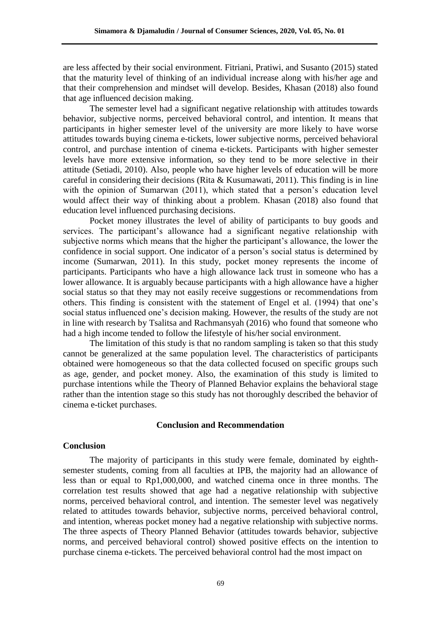are less affected by their social environment. Fitriani, Pratiwi, and Susanto (2015) stated that the maturity level of thinking of an individual increase along with his/her age and that their comprehension and mindset will develop. Besides, Khasan (2018) also found that age influenced decision making.

The semester level had a significant negative relationship with attitudes towards behavior, subjective norms, perceived behavioral control, and intention. It means that participants in higher semester level of the university are more likely to have worse attitudes towards buying cinema e-tickets, lower subjective norms, perceived behavioral control, and purchase intention of cinema e-tickets. Participants with higher semester levels have more extensive information, so they tend to be more selective in their attitude (Setiadi, 2010). Also, people who have higher levels of education will be more careful in considering their decisions (Rita & Kusumawati, 2011). This finding is in line with the opinion of Sumarwan (2011), which stated that a person's education level would affect their way of thinking about a problem. Khasan (2018) also found that education level influenced purchasing decisions.

Pocket money illustrates the level of ability of participants to buy goods and services. The participant's allowance had a significant negative relationship with subjective norms which means that the higher the participant's allowance, the lower the confidence in social support. One indicator of a person's social status is determined by income (Sumarwan, 2011). In this study, pocket money represents the income of participants. Participants who have a high allowance lack trust in someone who has a lower allowance. It is arguably because participants with a high allowance have a higher social status so that they may not easily receive suggestions or recommendations from others. This finding is consistent with the statement of Engel et al. (1994) that one's social status influenced one's decision making. However, the results of the study are not in line with research by Tsalitsa and Rachmansyah (2016) who found that someone who had a high income tended to follow the lifestyle of his/her social environment.

The limitation of this study is that no random sampling is taken so that this study cannot be generalized at the same population level. The characteristics of participants obtained were homogeneous so that the data collected focused on specific groups such as age, gender, and pocket money. Also, the examination of this study is limited to purchase intentions while the Theory of Planned Behavior explains the behavioral stage rather than the intention stage so this study has not thoroughly described the behavior of cinema e-ticket purchases.

### **Conclusion and Recommendation**

### **Conclusion**

The majority of participants in this study were female, dominated by eighthsemester students, coming from all faculties at IPB, the majority had an allowance of less than or equal to Rp1,000,000, and watched cinema once in three months. The correlation test results showed that age had a negative relationship with subjective norms, perceived behavioral control, and intention. The semester level was negatively related to attitudes towards behavior, subjective norms, perceived behavioral control, and intention, whereas pocket money had a negative relationship with subjective norms. The three aspects of Theory Planned Behavior (attitudes towards behavior, subjective norms, and perceived behavioral control) showed positive effects on the intention to purchase cinema e-tickets. The perceived behavioral control had the most impact on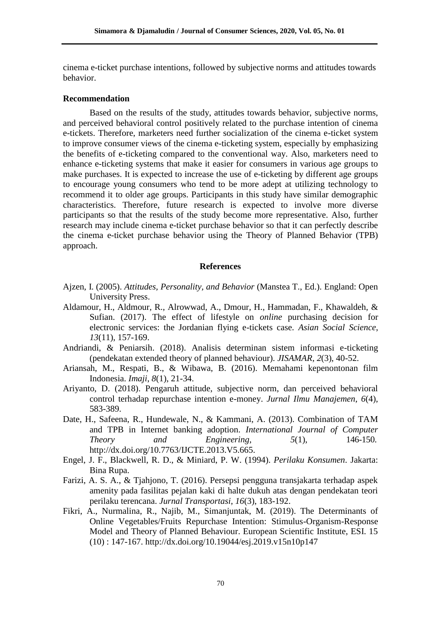cinema e-ticket purchase intentions, followed by subjective norms and attitudes towards behavior.

### **Recommendation**

Based on the results of the study, attitudes towards behavior, subjective norms, and perceived behavioral control positively related to the purchase intention of cinema e-tickets. Therefore, marketers need further socialization of the cinema e-ticket system to improve consumer views of the cinema e-ticketing system, especially by emphasizing the benefits of e-ticketing compared to the conventional way. Also, marketers need to enhance e-ticketing systems that make it easier for consumers in various age groups to make purchases. It is expected to increase the use of e-ticketing by different age groups to encourage young consumers who tend to be more adept at utilizing technology to recommend it to older age groups. Participants in this study have similar demographic characteristics. Therefore, future research is expected to involve more diverse participants so that the results of the study become more representative. Also, further research may include cinema e-ticket purchase behavior so that it can perfectly describe the cinema e-ticket purchase behavior using the Theory of Planned Behavior (TPB) approach.

### **References**

- Ajzen, I. (2005). *Attitudes, Personality, and Behavior* (Manstea T., Ed.). England: Open University Press.
- Aldamour, H., Aldmour, R., Alrowwad, A., Dmour, H., Hammadan, F., Khawaldeh, & Sufian. (2017). The effect of lifestyle on *online* purchasing decision for electronic services: the Jordanian flying e-tickets case. *Asian Social Science*, *13*(11), 157-169.
- Andriandi, & Peniarsih. (2018). Analisis determinan sistem informasi e-ticketing (pendekatan extended theory of planned behaviour). *JISAMAR*, *2*(3), 40-52.
- Ariansah, M., Respati, B., & Wibawa, B. (2016). Memahami kepenontonan film Indonesia. *Imaji*, *8*(1), 21-34.
- Ariyanto, D. (2018). Pengaruh attitude, subjective norm, dan perceived behavioral control terhadap repurchase intention e-money. *Jurnal Ilmu Manajemen*, *6*(4), 583-389.
- Date, H., Safeena, R., Hundewale, N., & Kammani, A. (2013). Combination of TAM and TPB in Internet banking adoption. *International Journal of Computer Theory and Engineering*, *5*(1), 146-150. [http://dx.doi.org/10.7763/IJCTE.2](http://dx.doi.org/10.7763/IJCTE)013.V5.665.
- Engel, J. F., Blackwell, R. D., & Miniard, P. W. (1994). *Perilaku Konsumen*. Jakarta: Bina Rupa.
- Farizi, A. S. A., & Tjahjono, T. (2016). Persepsi pengguna transjakarta terhadap aspek amenity pada fasilitas pejalan kaki di halte dukuh atas dengan pendekatan teori perilaku terencana. *Jurnal Transportasi*, *16*(3), 183-192.
- Fikri, A., Nurmalina, R., Najib, M., Simanjuntak, M. (2019). The Determinants of Online Vegetables/Fruits Repurchase Intention: Stimulus-Organism-Response Model and Theory of Planned Behaviour. European Scientific Institute, ESI. 15 (10) : 147[-167. http://dx.doi.org/10.19044/esj.2019.v15n10p147](http://dx.doi.org/10.19044/esj.2019.v15n10p147)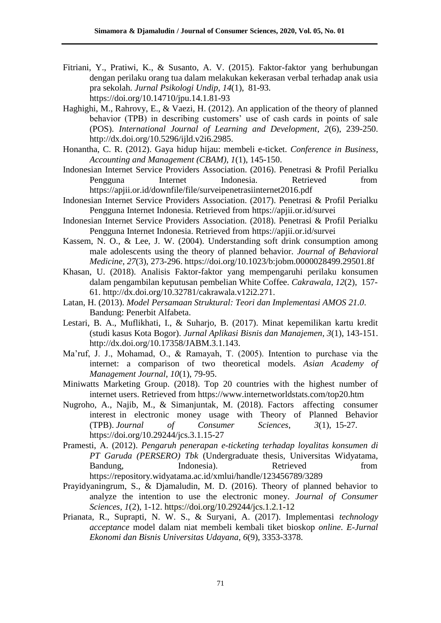- Fitriani, Y., Pratiwi, K., & Susanto, A. V. (2015). Faktor-faktor yang berhubungan dengan perilaku orang tua dalam melakukan kekerasan verbal terhadap anak usia pra sekolah. *Jurnal Psikologi Undip*, *14*(1), 81-93. <https://doi.org/10.14710/jpu.14.1.81-93>
- Haghighi, M., Rahrovy, E., & Vaezi, H. (2012). An application of the theory of planned behavior (TPB) in describing customers' use of cash cards in points of sale (POS). *International Journal of Learning and Development*, *2*(6), 239-250. [http://dx.doi.org/10.5296/ijld.v2i6.2985.](http://dx.doi.org/10.5296/ijld.v2i6.2985)
- Honantha, C. R. (2012). Gaya hidup hijau: membeli e-ticket. *Conference in Business, Accounting and Management (CBAM)*, *1*(1), 145-150.
- Indonesian Internet Service Providers Association. (2016). Penetrasi & Profil Perialku Pengguna Internet Indonesia. Retrieved from <https://apjii.or.id/downfile/file/surveipenetrasiinternet2016.pdf>
- Indonesian Internet Service Providers Association. (2017). Penetrasi & Profil Perialku Pengguna Internet Indonesia. Retrieved from <https://apjii.or.id/survei>
- Indonesian Internet Service Providers Association. (2018). Penetrasi & Profil Perialku Pengguna Internet Indonesia. Retrieved from <https://apjii.or.id/survei>
- Kassem, N. O., & Lee, J. W. (2004). Understanding soft drink consumption among male adolescents using the theory of planned behavior. *Journal of Behavioral Medicine*, *27*(3), 273-296. https://doi.org/10.1023/b:jobm.0000028499.29501.8f
- Khasan, U. (2018). Analisis Faktor-faktor yang mempengaruhi perilaku konsumen dalam pengambilan keputusan pembelian White Coffee. *Cakrawala*, *12*(2), 157- [61. http://dx.doi.org/10.32781/cakrawala.v12i2.271.](http://dx.doi.org/10.32781/cakrawala.v12i2.271)
- Latan, H. (2013). *Model Persamaan Struktural: Teori dan Implementasi AMOS 21.0*. Bandung: Penerbit Alfabeta.
- Lestari, B. A., Muflikhati, I., & Suharjo, B. (2017). Minat kepemilikan kartu kredit (studi kasus Kota Bogor). *Jurnal Aplikasi Bisnis dan Manajemen*, *3*(1), 143-151. [http://dx.doi.org/10.17358/JABM.3.1.143.](http://dx.doi.org/10.17358/JABM.3.1.143)
- Ma'ruf, J. J., Mohamad, O., & Ramayah, T. (2005). Intention to purchase via the internet: a comparison of two theoretical models. *Asian Academy of Management Journal*, *10*(1), 79-95.
- Miniwatts Marketing Group. (2018). Top 20 countries with the highest number of internet users. Retrieved from<https://www.internetworldstats.com/top20.htm>
- Nugroho, A., Najib, M., & Simanjuntak, M. (2018). Factors affecting consumer interest in electronic money usage with Theory of Planned Behavior (TPB). *Journal of Consumer Sciences*, *3*(1), 15-27. <https://doi.org/10.29244/jcs.3.1.15-27>
- Pramesti, A. (2012). *Pengaruh penerapan e-ticketing terhadap loyalitas konsumen di PT Garuda (PERSERO) Tbk* (Undergraduate thesis, Universitas Widyatama, Bandung, **Indonesia**). Retrieved **From** <https://repository.widyatama.ac.id/xmlui/handle/123456789/3289>
- Prayidyaningrum, S., & Djamaludin, M. D. (2016). Theory of planned behavior to analyze the intention to use the electronic money. *Journal of Consumer Sciences*, *1*(2), 1-12. <https://doi.org/10.29244/jcs.1.2.1-12>
- Prianata, R., Suprapti, N. W. S., & Suryani, A. (2017). Implementasi *technology acceptance* model dalam niat membeli kembali tiket bioskop *online*. *E-Jurnal Ekonomi dan Bisnis Universitas Udayana*, *6*(9), 3353-3378.